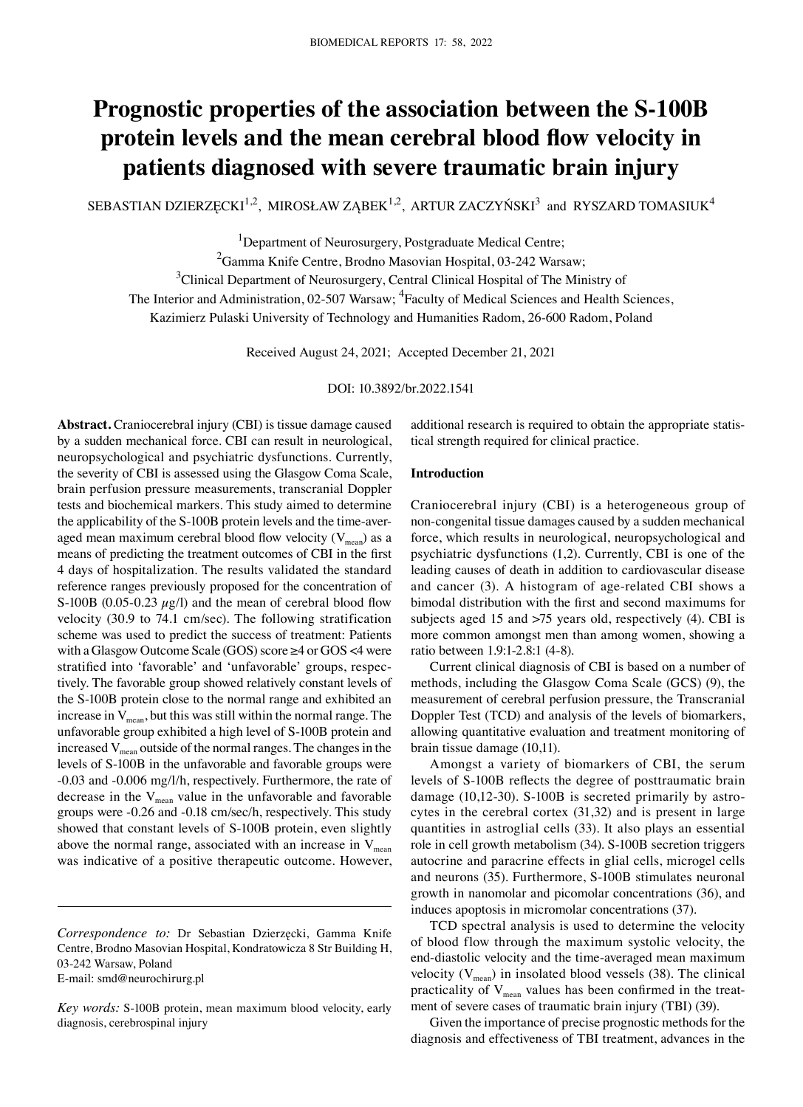# **Prognostic properties of the association between the S‑100B protein levels and the mean cerebral blood flow velocity in patients diagnosed with severe traumatic brain injury**

SEBASTIAN DZIERZĘCKI $^{1,2}$ , MIROSŁAW ZĄBEK $^{1,2}$ , ARTUR ZACZYŃSKI $^3$  and RYSZARD TOMASIUK $^4$ 

<sup>1</sup>Department of Neurosurgery, Postgraduate Medical Centre;

<sup>2</sup>Gamma Knife Centre, Brodno Masovian Hospital, 03-242 Warsaw;

<sup>3</sup>Clinical Department of Neurosurgery, Central Clinical Hospital of The Ministry of

The Interior and Administration, 02-507 Warsaw; <sup>4</sup>Faculty of Medical Sciences and Health Sciences,

Kazimierz Pulaski University of Technology and Humanities Radom, 26‑600 Radom, Poland

Received August 24, 2021; Accepted December 21, 2021

DOI: 10.3892/br.2022.1541

**Abstract.** Craniocerebral injury (CBI) is tissue damage caused by a sudden mechanical force. CBI can result in neurological, neuropsychological and psychiatric dysfunctions. Currently, the severity of CBI is assessed using the Glasgow Coma Scale, brain perfusion pressure measurements, transcranial Doppler tests and biochemical markers. This study aimed to determine the applicability of the S-100B protein levels and the time-averaged mean maximum cerebral blood flow velocity  $(V_{mean})$  as a means of predicting the treatment outcomes of CBI in the first 4 days of hospitalization. The results validated the standard reference ranges previously proposed for the concentration of S-100B (0.05-0.23  $\mu$ g/l) and the mean of cerebral blood flow velocity (30.9 to 74.1 cm/sec). The following stratification scheme was used to predict the success of treatment: Patients with a Glasgow Outcome Scale (GOS) score ≥4 or GOS <4 were stratified into 'favorable' and 'unfavorable' groups, respectively. The favorable group showed relatively constant levels of the S‑100B protein close to the normal range and exhibited an increase in  $V_{mean}$ , but this was still within the normal range. The unfavorable group exhibited a high level of S‑100B protein and increased  $V_{\text{mean}}$  outside of the normal ranges. The changes in the levels of S‑100B in the unfavorable and favorable groups were ‑0.03 and ‑0.006 mg/l/h, respectively. Furthermore, the rate of decrease in the  $V_{mean}$  value in the unfavorable and favorable groups were ‑0.26 and ‑0.18 cm/sec/h, respectively. This study showed that constant levels of S-100B protein, even slightly above the normal range, associated with an increase in  $V_{mean}$ was indicative of a positive therapeutic outcome. However,

E‑mail: smd@neurochirurg.pl

additional research is required to obtain the appropriate statistical strength required for clinical practice.

## **Introduction**

Craniocerebral injury (CBI) is a heterogeneous group of non‑congenital tissue damages caused by a sudden mechanical force, which results in neurological, neuropsychological and psychiatric dysfunctions (1,2). Currently, CBI is one of the leading causes of death in addition to cardiovascular disease and cancer (3). A histogram of age-related CBI shows a bimodal distribution with the first and second maximums for subjects aged 15 and >75 years old, respectively (4). CBI is more common amongst men than among women, showing a ratio between 1.9:1‑2.8:1 (4‑8).

Current clinical diagnosis of CBI is based on a number of methods, including the Glasgow Coma Scale (GCS) (9), the measurement of cerebral perfusion pressure, the Transcranial Doppler Test (TCD) and analysis of the levels of biomarkers, allowing quantitative evaluation and treatment monitoring of brain tissue damage (10,11).

Amongst a variety of biomarkers of CBI, the serum levels of S‑100B reflects the degree of posttraumatic brain damage (10,12-30). S-100B is secreted primarily by astrocytes in the cerebral cortex (31,32) and is present in large quantities in astroglial cells (33). It also plays an essential role in cell growth metabolism (34). S-100B secretion triggers autocrine and paracrine effects in glial cells, microgel cells and neurons (35). Furthermore, S‑100B stimulates neuronal growth in nanomolar and picomolar concentrations (36), and induces apoptosis in micromolar concentrations (37).

TCD spectral analysis is used to determine the velocity of blood flow through the maximum systolic velocity, the end-diastolic velocity and the time-averaged mean maximum velocity  $(V_{mean})$  in insolated blood vessels (38). The clinical practicality of  $V_{mean}$  values has been confirmed in the treatment of severe cases of traumatic brain injury (TBI) (39).

Given the importance of precise prognostic methods for the diagnosis and effectiveness of TBI treatment, advances in the

*Correspondence to:* Dr Sebastian Dzierzęcki, Gamma Knife Centre, Brodno Masovian Hospital, Kondratowicza 8 Str Building H, 03‑242 Warsaw, Poland

*Key words:* S‑100B protein, mean maximum blood velocity, early diagnosis, cerebrospinal injury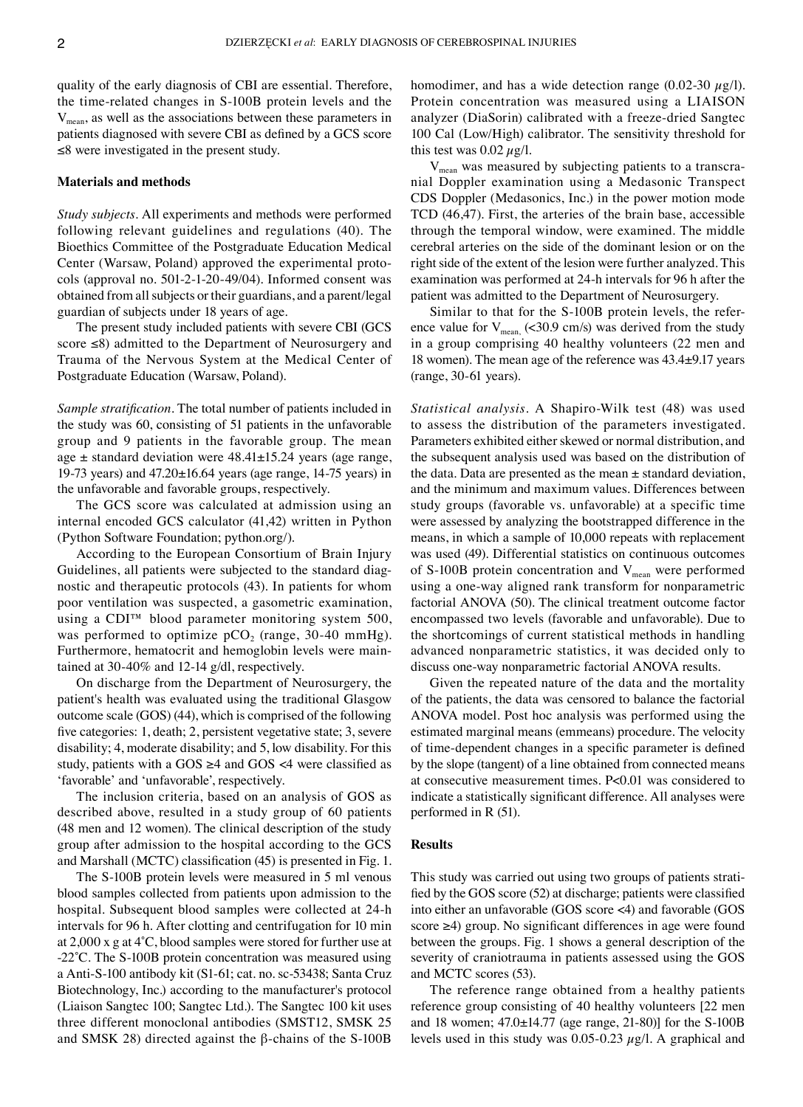quality of the early diagnosis of CBI are essential. Therefore, the time‑related changes in S‑100B protein levels and the  $V_{\text{mean}}$ , as well as the associations between these parameters in patients diagnosed with severe CBI as defined by a GCS score ≤8 were investigated in the present study.

#### **Materials and methods**

*Study subjects.* All experiments and methods were performed following relevant guidelines and regulations (40). The Bioethics Committee of the Postgraduate Education Medical Center (Warsaw, Poland) approved the experimental protocols (approval no. 501‑2‑1‑20‑49/04). Informed consent was obtained from all subjects or their guardians, and a parent/legal guardian of subjects under 18 years of age.

The present study included patients with severe CBI (GCS score ≤8) admitted to the Department of Neurosurgery and Trauma of the Nervous System at the Medical Center of Postgraduate Education (Warsaw, Poland).

*Sample stratification.* The total number of patients included in the study was 60, consisting of 51 patients in the unfavorable group and 9 patients in the favorable group. The mean age  $\pm$  standard deviation were 48.41 $\pm$ 15.24 years (age range, 19-73 years) and  $47.20 \pm 16.64$  years (age range, 14-75 years) in the unfavorable and favorable groups, respectively.

The GCS score was calculated at admission using an internal encoded GCS calculator (41,42) written in Python (Python Software Foundation; python.org/).

According to the European Consortium of Brain Injury Guidelines, all patients were subjected to the standard diagnostic and therapeutic protocols (43). In patients for whom poor ventilation was suspected, a gasometric examination, using a CDI™ blood parameter monitoring system 500, was performed to optimize  $pCO<sub>2</sub>$  (range, 30-40 mmHg). Furthermore, hematocrit and hemoglobin levels were maintained at 30‑40% and 12‑14 g/dl, respectively.

On discharge from the Department of Neurosurgery, the patient's health was evaluated using the traditional Glasgow outcome scale (GOS) (44), which is comprised of the following five categories: 1, death; 2, persistent vegetative state; 3, severe disability; 4, moderate disability; and 5, low disability. For this study, patients with a  $GOS \geq 4$  and  $GOS \leq 4$  were classified as 'favorable' and 'unfavorable', respectively.

The inclusion criteria, based on an analysis of GOS as described above, resulted in a study group of 60 patients (48 men and 12 women). The clinical description of the study group after admission to the hospital according to the GCS and Marshall (MCTC) classification (45) is presented in Fig. 1.

The S-100B protein levels were measured in 5 ml venous blood samples collected from patients upon admission to the hospital. Subsequent blood samples were collected at 24‑h intervals for 96 h. After clotting and centrifugation for 10 min at 2,000 x g at 4˚C, blood samples were stored for further use at ‑22˚C. The S‑100B protein concentration was measured using a Anti‑S‑100 antibody kit (S1‑61; cat. no. sc‑53438; Santa Cruz Biotechnology, Inc.) according to the manufacturer's protocol (Liaison Sangtec 100; Sangtec Ltd.). The Sangtec 100 kit uses three different monoclonal antibodies (SMST12, SMSK 25 and SMSK 28) directed against the β-chains of the S-100B homodimer, and has a wide detection range (0.02-30  $\mu$ g/l). Protein concentration was measured using a LIAISON analyzer (DiaSorin) calibrated with a freeze‑dried Sangtec 100 Cal (Low/High) calibrator. The sensitivity threshold for this test was  $0.02 \mu g/l$ .

 $V_{\text{mean}}$  was measured by subjecting patients to a transcranial Doppler examination using a Medasonic Transpect CDS Doppler (Medasonics, Inc.) in the power motion mode TCD (46,47). First, the arteries of the brain base, accessible through the temporal window, were examined. The middle cerebral arteries on the side of the dominant lesion or on the right side of the extent of the lesion were further analyzed. This examination was performed at 24‑h intervals for 96 h after the patient was admitted to the Department of Neurosurgery.

Similar to that for the S-100B protein levels, the reference value for  $V_{mean}$  (<30.9 cm/s) was derived from the study in a group comprising 40 healthy volunteers (22 men and 18 women). The mean age of the reference was 43.4±9.17 years (range, 30‑61 years).

*Statistical analysis.* A Shapiro‑Wilk test (48) was used to assess the distribution of the parameters investigated. Parameters exhibited either skewed or normal distribution, and the subsequent analysis used was based on the distribution of the data. Data are presented as the mean  $\pm$  standard deviation, and the minimum and maximum values. Differences between study groups (favorable vs. unfavorable) at a specific time were assessed by analyzing the bootstrapped difference in the means, in which a sample of 10,000 repeats with replacement was used (49). Differential statistics on continuous outcomes of S-100B protein concentration and  $V_{mean}$  were performed using a one‑way aligned rank transform for nonparametric factorial ANOVA (50). The clinical treatment outcome factor encompassed two levels (favorable and unfavorable). Due to the shortcomings of current statistical methods in handling advanced nonparametric statistics, it was decided only to discuss one‑way nonparametric factorial ANOVA results.

Given the repeated nature of the data and the mortality of the patients, the data was censored to balance the factorial ANOVA model. Post hoc analysis was performed using the estimated marginal means (emmeans) procedure. The velocity of time‑dependent changes in a specific parameter is defined by the slope (tangent) of a line obtained from connected means at consecutive measurement times. P<0.01 was considered to indicate a statistically significant difference. All analyses were performed in R (51).

## **Results**

This study was carried out using two groups of patients stratified by the GOS score (52) at discharge; patients were classified into either an unfavorable (GOS score <4) and favorable (GOS score ≥4) group. No significant differences in age were found between the groups. Fig. 1 shows a general description of the severity of craniotrauma in patients assessed using the GOS and MCTC scores (53).

The reference range obtained from a healthy patients reference group consisting of 40 healthy volunteers [22 men and 18 women; 47.0±14.77 (age range, 21‑80)] for the S‑100B levels used in this study was 0.05-0.23  $\mu$ g/l. A graphical and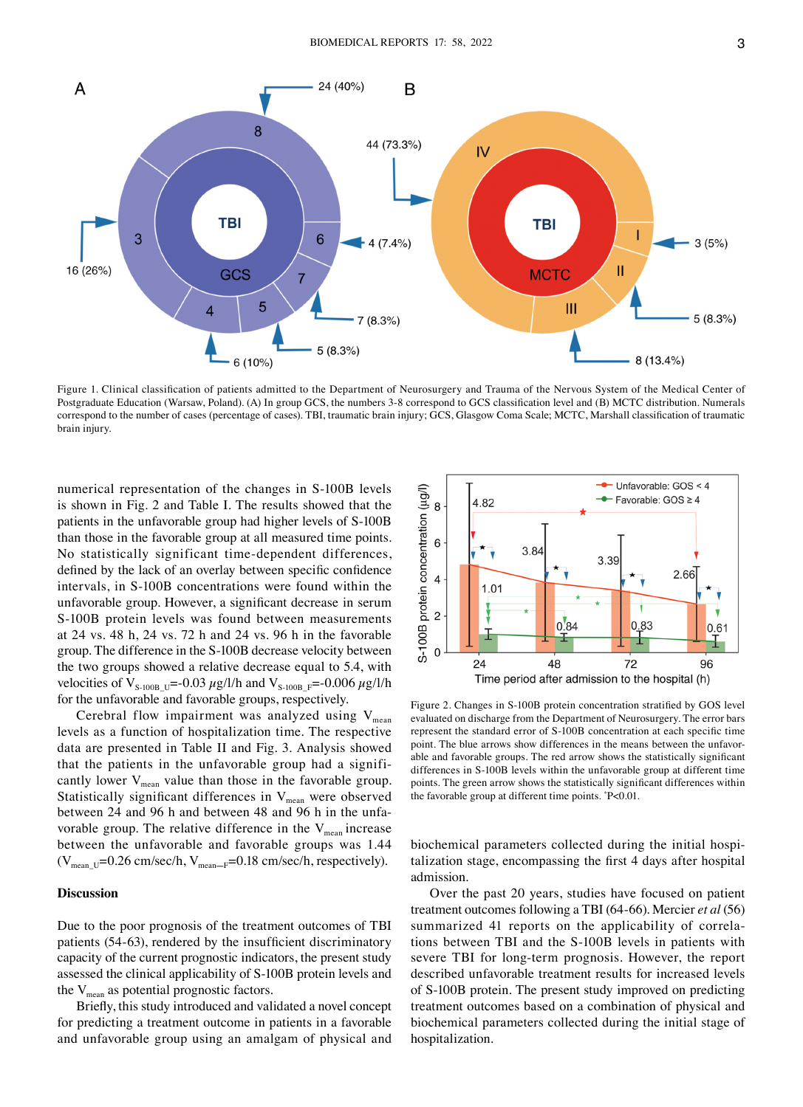

Figure 1. Clinical classification of patients admitted to the Department of Neurosurgery and Trauma of the Nervous System of the Medical Center of Postgraduate Education (Warsaw, Poland). (A) In group GCS, the numbers 3‑8 correspond to GCS classification level and (B) MCTC distribution. Numerals correspond to the number of cases (percentage of cases). TBI, traumatic brain injury; GCS, Glasgow Coma Scale; MCTC, Marshall classification of traumatic brain injury.

numerical representation of the changes in S‑100B levels is shown in Fig. 2 and Table I. The results showed that the patients in the unfavorable group had higher levels of S-100B than those in the favorable group at all measured time points. No statistically significant time‑dependent differences, defined by the lack of an overlay between specific confidence intervals, in S‑100B concentrations were found within the unfavorable group. However, a significant decrease in serum S-100B protein levels was found between measurements at 24 vs. 48 h, 24 vs. 72 h and 24 vs. 96 h in the favorable group. The difference in the S‑100B decrease velocity between the two groups showed a relative decrease equal to 5.4, with velocities of V<sub>S-100B</sub>  $_{U}$ =–0.03  $\mu$ g/l/h and V<sub>S-100B</sub>  $_{F}$ =–0.006  $\mu$ g/l/h for the unfavorable and favorable groups, respectively.

Cerebral flow impairment was analyzed using  $V_{mean}$ levels as a function of hospitalization time. The respective data are presented in Table II and Fig. 3. Analysis showed that the patients in the unfavorable group had a significantly lower  $V_{mean}$  value than those in the favorable group. Statistically significant differences in  $V_{mean}$  were observed between 24 and 96 h and between 48 and 96 h in the unfavorable group. The relative difference in the  $V_{mean}$  increase between the unfavorable and favorable groups was 1.44 ( $V_{mean-U}=0.26$  cm/sec/h,  $V_{mean-F}=0.18$  cm/sec/h, respectively).

# **Discussion**

Due to the poor prognosis of the treatment outcomes of TBI patients (54‑63), rendered by the insufficient discriminatory capacity of the current prognostic indicators, the present study assessed the clinical applicability of S‑100B protein levels and the  $V_{\text{mean}}$  as potential prognostic factors.

Briefly, this study introduced and validated a novel concept for predicting a treatment outcome in patients in a favorable and unfavorable group using an amalgam of physical and



Figure 2. Changes in S‑100B protein concentration stratified by GOS level evaluated on discharge from the Department of Neurosurgery. The error bars represent the standard error of S‑100B concentration at each specific time point. The blue arrows show differences in the means between the unfavorable and favorable groups. The red arrow shows the statistically significant differences in S‑100B levels within the unfavorable group at different time points. The green arrow shows the statistically significant differences within the favorable group at different time points. \* P<0.01.

biochemical parameters collected during the initial hospitalization stage, encompassing the first 4 days after hospital admission.

Over the past 20 years, studies have focused on patient treatment outcomes following a TBI (64‑66). Mercier *et al* (56) summarized 41 reports on the applicability of correlations between TBI and the S‑100B levels in patients with severe TBI for long-term prognosis. However, the report described unfavorable treatment results for increased levels of S‑100B protein. The present study improved on predicting treatment outcomes based on a combination of physical and biochemical parameters collected during the initial stage of hospitalization.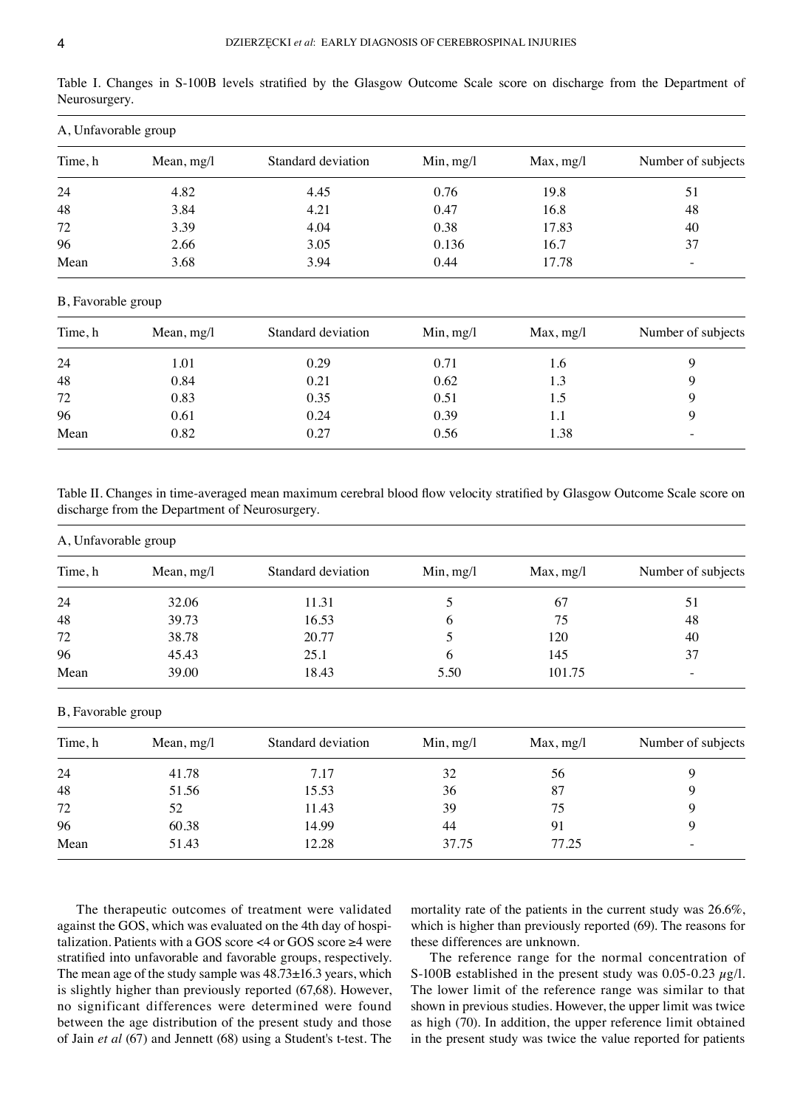|               |  |  |  |  |  |  | Table I. Changes in S-100B levels stratified by the Glasgow Outcome Scale score on discharge from the Department of |  |
|---------------|--|--|--|--|--|--|---------------------------------------------------------------------------------------------------------------------|--|
| Neurosurgery. |  |  |  |  |  |  |                                                                                                                     |  |

| A, Unfavorable group |              |                    |           |           |                    |  |  |  |
|----------------------|--------------|--------------------|-----------|-----------|--------------------|--|--|--|
| Time, h              | Mean, $mg/l$ | Standard deviation | Min, mg/l | Max, mg/l | Number of subjects |  |  |  |
| 24                   | 4.82         | 4.45               | 0.76      | 19.8      | 51                 |  |  |  |
| 48                   | 3.84         | 4.21               | 0.47      | 16.8      | 48                 |  |  |  |
| 72                   | 3.39         | 4.04               | 0.38      | 17.83     | 40                 |  |  |  |
| 96                   | 2.66         | 3.05               | 0.136     | 16.7      | 37                 |  |  |  |
| Mean                 | 3.68         | 3.94               | 0.44      | 17.78     |                    |  |  |  |

# B, Favorable group

| Time, h | Mean, $mg/l$ | Standard deviation | Min, mg/l | Max, mg/l | Number of subjects |  |
|---------|--------------|--------------------|-----------|-----------|--------------------|--|
| 24      | 1.01         | 0.29               | 0.71      | 1.6       |                    |  |
| 48      | 0.84         | 0.21               | 0.62      | 1.3       |                    |  |
| 72      | 0.83         | 0.35               | 0.51      | 1.5       |                    |  |
| 96      | 0.61         | 0.24               | 0.39      | 1.1       |                    |  |
| Mean    | 0.82         | 0.27               | 0.56      | 1.38      |                    |  |

Table II. Changes in time‑averaged mean maximum cerebral blood flow velocity stratified by Glasgow Outcome Scale score on discharge from the Department of Neurosurgery.

# A, Unfavorable group

| Time, h | Mean, $mg/l$ | Standard deviation | Min, mg/l    | Max, mg/l | Number of subjects       |  |
|---------|--------------|--------------------|--------------|-----------|--------------------------|--|
| 24      | 32.06        | 11.31              |              | -67       |                          |  |
| 48      | 39.73        | 16.53              | <sub>0</sub> | 75        | 48                       |  |
| 72      | 38.78        | 20.77              |              | 120       | 40                       |  |
| 96      | 45.43        | 25.1               | <sub>0</sub> | 145       | 37                       |  |
| Mean    | 39.00        | 18.43              | 5.50         | 101.75    | $\overline{\phantom{0}}$ |  |

# B, Favorable group

| Time, h | Mean, $mg/l$ | Standard deviation | Min, mg/l | Max, mg/l | Number of subjects       |  |
|---------|--------------|--------------------|-----------|-----------|--------------------------|--|
| 24      | 41.78        | 7.17               | 32        | 56        |                          |  |
| 48      | 51.56        | 15.53              | 36        | 87        |                          |  |
| 72      | 52           | 11.43              | 39        | 75        |                          |  |
| 96      | 60.38        | 14.99              | 44        | 91        |                          |  |
| Mean    | 51.43        | 12.28              | 37.75     | 77.25     | $\overline{\phantom{0}}$ |  |

The therapeutic outcomes of treatment were validated against the GOS, which was evaluated on the 4th day of hospitalization. Patients with a GOS score <4 or GOS score ≥4 were stratified into unfavorable and favorable groups, respectively. The mean age of the study sample was 48.73±16.3 years, which is slightly higher than previously reported (67,68). However, no significant differences were determined were found between the age distribution of the present study and those of Jain *et al* (67) and Jennett (68) using a Student's t‑test. The

mortality rate of the patients in the current study was 26.6%, which is higher than previously reported (69). The reasons for these differences are unknown.

The reference range for the normal concentration of S-100B established in the present study was 0.05-0.23  $\mu$ g/l. The lower limit of the reference range was similar to that shown in previous studies. However, the upper limit was twice as high (70). In addition, the upper reference limit obtained in the present study was twice the value reported for patients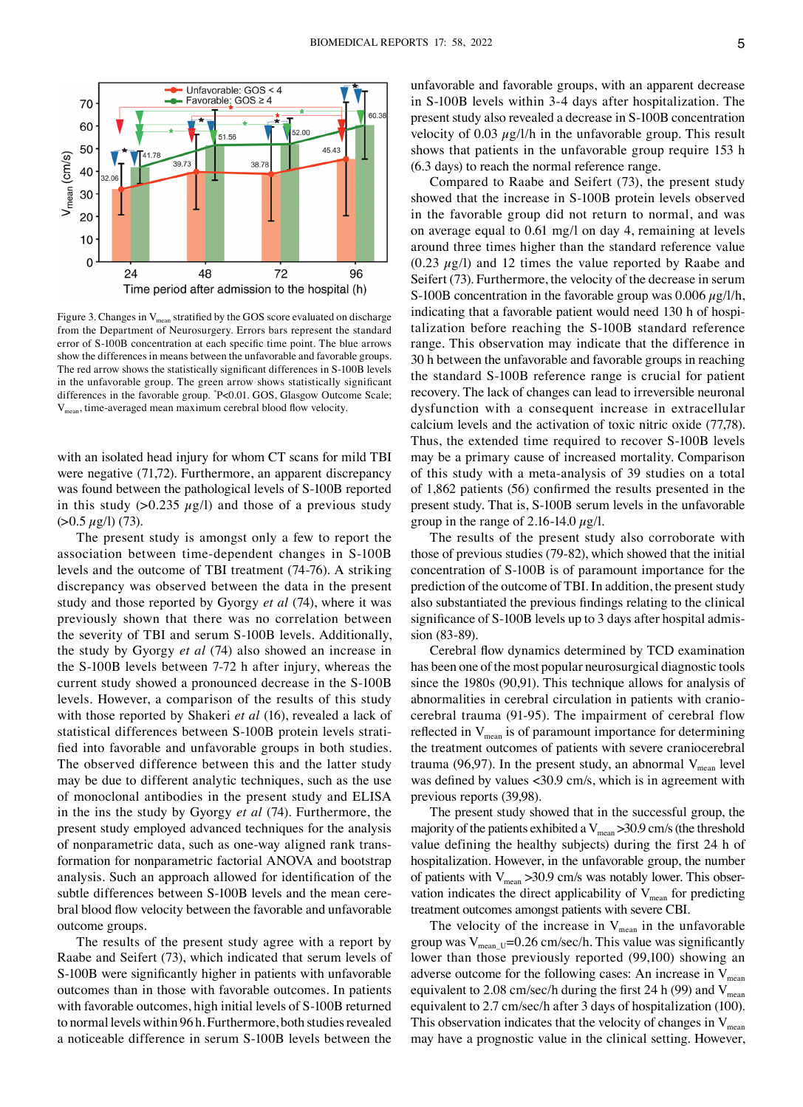

Figure 3. Changes in  $V_{mean}$  stratified by the GOS score evaluated on discharge from the Department of Neurosurgery. Errors bars represent the standard error of S‑100B concentration at each specific time point. The blue arrows show the differences in means between the unfavorable and favorable groups. The red arrow shows the statistically significant differences in S-100B levels in the unfavorable group. The green arrow shows statistically significant differences in the favorable group. \* P<0.01. GOS, Glasgow Outcome Scale;  $V_{mean}$ , time-averaged mean maximum cerebral blood flow velocity.

with an isolated head injury for whom CT scans for mild TBI were negative (71,72). Furthermore, an apparent discrepancy was found between the pathological levels of S-100B reported in this study  $(>0.235 \mu g/l)$  and those of a previous study  $(>0.5 \mu g/l)$  (73).

The present study is amongst only a few to report the association between time‑dependent changes in S‑100B levels and the outcome of TBI treatment (74‑76). A striking discrepancy was observed between the data in the present study and those reported by Gyorgy *et al* (74), where it was previously shown that there was no correlation between the severity of TBI and serum S‑100B levels. Additionally, the study by Gyorgy *et al* (74) also showed an increase in the S‑100B levels between 7‑72 h after injury, whereas the current study showed a pronounced decrease in the S‑100B levels. However, a comparison of the results of this study with those reported by Shakeri *et al* (16), revealed a lack of statistical differences between S-100B protein levels stratified into favorable and unfavorable groups in both studies. The observed difference between this and the latter study may be due to different analytic techniques, such as the use of monoclonal antibodies in the present study and ELISA in the ins the study by Gyorgy *et al* (74). Furthermore, the present study employed advanced techniques for the analysis of nonparametric data, such as one‑way aligned rank trans‑ formation for nonparametric factorial ANOVA and bootstrap analysis. Such an approach allowed for identification of the subtle differences between S-100B levels and the mean cerebral blood flow velocity between the favorable and unfavorable outcome groups.

The results of the present study agree with a report by Raabe and Seifert (73), which indicated that serum levels of S-100B were significantly higher in patients with unfavorable outcomes than in those with favorable outcomes. In patients with favorable outcomes, high initial levels of S-100B returned to normal levels within 96 h. Furthermore, both studies revealed a noticeable difference in serum S‑100B levels between the unfavorable and favorable groups, with an apparent decrease in S‑100B levels within 3‑4 days after hospitalization. The present study also revealed a decrease in S‑100B concentration velocity of 0.03  $\mu$ g/l/h in the unfavorable group. This result shows that patients in the unfavorable group require 153 h (6.3 days) to reach the normal reference range.

Compared to Raabe and Seifert (73), the present study showed that the increase in S‑100B protein levels observed in the favorable group did not return to normal, and was on average equal to 0.61 mg/l on day 4, remaining at levels around three times higher than the standard reference value  $(0.23 \mu g/l)$  and 12 times the value reported by Raabe and Seifert (73). Furthermore, the velocity of the decrease in serum S-100B concentration in the favorable group was  $0.006 \mu g/l/h$ , indicating that a favorable patient would need 130 h of hospitalization before reaching the S‑100B standard reference range. This observation may indicate that the difference in 30 h between the unfavorable and favorable groups in reaching the standard S‑100B reference range is crucial for patient recovery. The lack of changes can lead to irreversible neuronal dysfunction with a consequent increase in extracellular calcium levels and the activation of toxic nitric oxide (77,78). Thus, the extended time required to recover S‑100B levels may be a primary cause of increased mortality. Comparison of this study with a meta‑analysis of 39 studies on a total of 1,862 patients (56) confirmed the results presented in the present study. That is, S‑100B serum levels in the unfavorable group in the range of 2.16-14.0  $\mu$ g/l.

The results of the present study also corroborate with those of previous studies (79‑82), which showed that the initial concentration of S‑100B is of paramount importance for the prediction of the outcome of TBI. In addition, the present study also substantiated the previous findings relating to the clinical significance of S-100B levels up to 3 days after hospital admission (83‑89).

Cerebral flow dynamics determined by TCD examination has been one of the most popular neurosurgical diagnostic tools since the 1980s (90,91). This technique allows for analysis of abnormalities in cerebral circulation in patients with craniocerebral trauma (91‑95). The impairment of cerebral flow reflected in  $V_{mean}$  is of paramount importance for determining the treatment outcomes of patients with severe craniocerebral trauma (96,97). In the present study, an abnormal  $V_{mean}$  level was defined by values <30.9 cm/s, which is in agreement with previous reports (39,98).

The present study showed that in the successful group, the majority of the patients exhibited a  $V_{\text{mean}} > 30.9 \text{ cm/s}$  (the threshold value defining the healthy subjects) during the first 24 h of hospitalization. However, in the unfavorable group, the number of patients with  $V_{\text{mean}} > 30.9$  cm/s was notably lower. This observation indicates the direct applicability of  $V_{\text{mean}}$  for predicting treatment outcomes amongst patients with severe CBI.

The velocity of the increase in  $V_{mean}$  in the unfavorable group was  $V_{\text{mean U}}$ =0.26 cm/sec/h. This value was significantly lower than those previously reported (99,100) showing an adverse outcome for the following cases: An increase in  $V_{\text{mean}}$ equivalent to 2.08 cm/sec/h during the first 24 h (99) and  $V_{\text{mean}}$ equivalent to 2.7 cm/sec/h after 3 days of hospitalization (100). This observation indicates that the velocity of changes in  $V_{\text{mean}}$ may have a prognostic value in the clinical setting. However,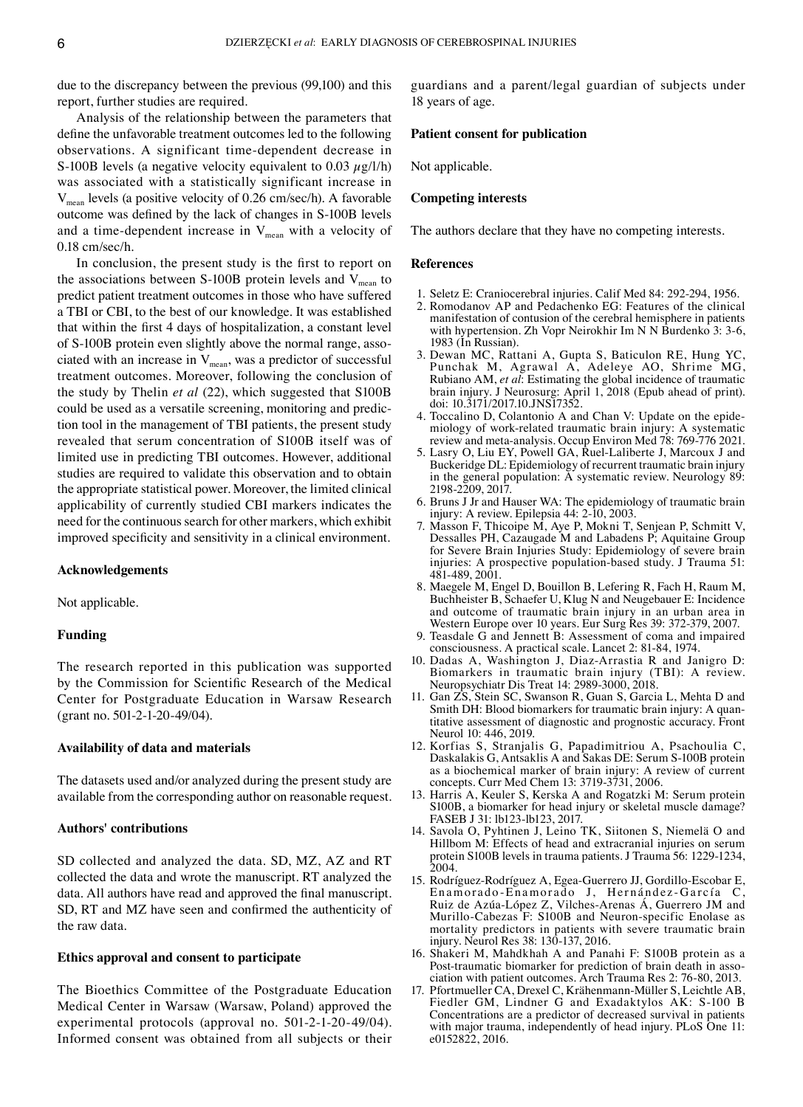due to the discrepancy between the previous (99,100) and this report, further studies are required.

Analysis of the relationship between the parameters that define the unfavorable treatment outcomes led to the following observations. A significant time‑dependent decrease in S-100B levels (a negative velocity equivalent to 0.03  $\mu$ g/l/h) was associated with a statistically significant increase in Vmean levels (a positive velocity of 0.26 cm/sec/h). A favorable outcome was defined by the lack of changes in S‑100B levels and a time-dependent increase in  $V_{mean}$  with a velocity of 0.18 cm/sec/h.

In conclusion, the present study is the first to report on the associations between S-100B protein levels and  $V_{mean}$  to predict patient treatment outcomes in those who have suffered a TBI or CBI, to the best of our knowledge. It was established that within the first 4 days of hospitalization, a constant level of S-100B protein even slightly above the normal range, associated with an increase in  $V_{mean}$ , was a predictor of successful treatment outcomes. Moreover, following the conclusion of the study by Thelin *et al* (22), which suggested that S100B could be used as a versatile screening, monitoring and prediction tool in the management of TBI patients, the present study revealed that serum concentration of S100B itself was of limited use in predicting TBI outcomes. However, additional studies are required to validate this observation and to obtain the appropriate statistical power. Moreover, the limited clinical applicability of currently studied CBI markers indicates the need for the continuous search for other markers, which exhibit improved specificity and sensitivity in a clinical environment.

#### **Acknowledgements**

Not applicable.

## **Funding**

The research reported in this publication was supported by the Commission for Scientific Research of the Medical Center for Postgraduate Education in Warsaw Research (grant no. 501‑2‑1‑20‑49/04).

## **Availability of data and materials**

The datasets used and/or analyzed during the present study are available from the corresponding author on reasonable request.

## **Authors' contributions**

SD collected and analyzed the data. SD, MZ, AZ and RT collected the data and wrote the manuscript. RT analyzed the data. All authors have read and approved the final manuscript. SD, RT and MZ have seen and confirmed the authenticity of the raw data.

## **Ethics approval and consent to participate**

The Bioethics Committee of the Postgraduate Education Medical Center in Warsaw (Warsaw, Poland) approved the experimental protocols (approval no. 501‑2‑1‑20‑49/04). Informed consent was obtained from all subjects or their guardians and a parent/legal guardian of subjects under 18 years of age.

# **Patient consent for publication**

Not applicable.

## **Competing interests**

The authors declare that they have no competing interests.

## **References**

- 1. Seletz E: Craniocerebral injuries. Calif Med 84: 292‑294, 1956.
- 2. Romodanov AP and Pedachenko EG: Features of the clinical manifestation of contusion of the cerebral hemisphere in patients with hypertension. Zh Vopr Neirokhir Im N N Burdenko 3: 3-6, 1983 (In Russian).
- 3. Dewan MC, Rattani A, Gupta S, Baticulon RE, Hung YC, Punchak M, Agrawal A, Adeleye AO, Shrime MG, Rubiano AM, *et al*: Estimating the global incidence of traumatic brain injury. J Neurosurg: April 1, 2018 (Epub ahead of print). doi: 10.3171/2017.10.JNS17352.
- 4. Toccalino D, Colantonio A and Chan V: Update on the epidemiology of work‑related traumatic brain injury: A systematic review and meta‑analysis. Occup Environ Med 78: 769‑776 2021.
- 5. Lasry O, Liu EY, Powell GA, Ruel‑Laliberte J, Marcoux J and Buckeridge DL: Epidemiology of recurrent traumatic brain injury in the general population: A systematic review. Neurology 89: 2198‑2209, 2017.
- 6. Bruns J Jr and Hauser WA: The epidemiology of traumatic brain injury: A review. Epilepsia 44: 2‑10, 2003.
- 7. Masson F, Thicoipe M, Aye P, Mokni T, Senjean P, Schmitt V, Dessalles PH, Cazaugade M and Labadens P; Aquitaine Group for Severe Brain Injuries Study: Epidemiology of severe brain injuries: A prospective population‑based study. J Trauma 51: 481‑489, 2001.
- 8. Maegele M, Engel D, Bouillon B, Lefering R, Fach H, Raum M, Buchheister B, Schaefer U, Klug N and Neugebauer E: Incidence and outcome of traumatic brain injury in an urban area in Western Europe over 10 years. Eur Surg Res 39: 372‑379, 2007.
- 9. Teasdale G and Jennett B: Assessment of coma and impaired consciousness. A practical scale. Lancet 2: 81‑84, 1974.
- 10. Dadas A, Washington J, Diaz‑Arrastia R and Janigro D: Biomarkers in traumatic brain injury (TBI): A review. Neuropsychiatr Dis Treat 14: 2989‑3000, 2018.
- 11. Gan ZS, Stein SC, Swanson R, Guan S, Garcia L, Mehta D and Smith DH: Blood biomarkers for traumatic brain injury: A quantitative assessment of diagnostic and prognostic accuracy. Front Neurol 10: 446, 2019.
- 12. Korfias S, Stranjalis G, Papadimitriou A, Psachoulia C, Daskalakis G, Antsaklis A and Sakas DE: Serum S‑100B protein as a biochemical marker of brain injury: A review of current concepts. Curr Med Chem 13: 3719‑3731, 2006.
- 13. Harris A, Keuler S, Kerska A and Rogatzki M: Serum protein S100B, a biomarker for head injury or skeletal muscle damage? FASEB J 31: lb123‑lb123, 2017.
- 14. Savola O, Pyhtinen J, Leino TK, Siitonen S, Niemelä O and Hillbom M: Effects of head and extracranial injuries on serum protein S100B levels in trauma patients. J Trauma 56: 1229‑1234, 2004.
- 15. Rodríguez‑Rodríguez A, Egea‑Guerrero JJ, Gordillo‑Escobar E, Enamorado‑Enamorado J, Hernández‑García C, Ruiz de Azúa‑López Z, Vilches‑Arenas Á, Guerrero JM and Murillo‑Cabezas F: S100B and Neuron‑specific Enolase as mortality predictors in patients with severe traumatic brain injury. Neurol Res 38: 130‑137, 2016.
- 16. Shakeri M, Mahdkhah A and Panahi F: S100B protein as a Post-traumatic biomarker for prediction of brain death in association with patient outcomes. Arch Trauma Res 2: 76‑80, 2013.
- 17. Pfortmueller CA, Drexel C, Krähenmann‑Müller S, Leichtle AB, Fiedler GM, Lindner G and Exadaktylos AK: S‑100 B Concentrations are a predictor of decreased survival in patients with major trauma, independently of head injury. PLoS One 11: e0152822, 2016.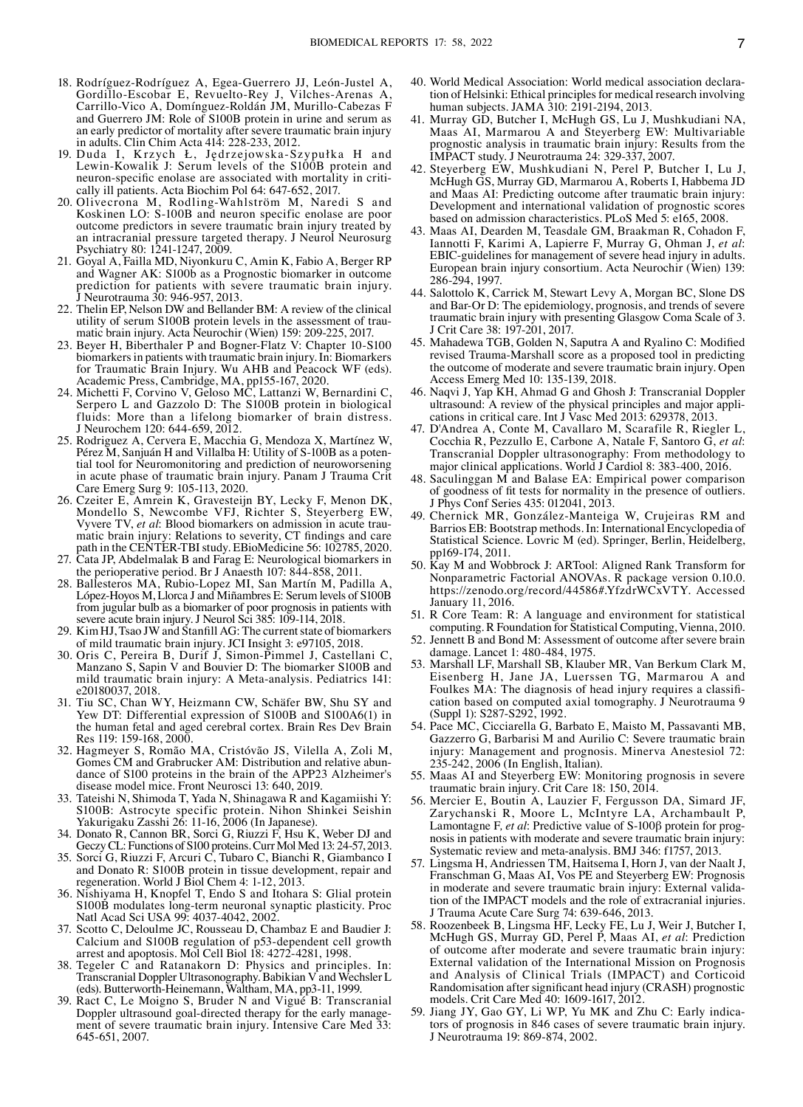- 18. Rodríguez‑Rodríguez A, Egea‑Guerrero JJ, León‑Justel A, Gordillo‑Escobar E, Revuelto‑Rey J, Vilches‑Arenas A, Carrillo‑Vico A, Domínguez‑Roldán JM, Murillo‑Cabezas F and Guerrero JM: Role of S100B protein in urine and serum as an early predictor of mortality after severe traumatic brain injury in adults. Clin Chim Acta 414: 228‑233, 2012.
- 19. Duda I, Krzych Ł, Jędrzejowska‑Szypułka H and Lewin-Kowalik J: Serum levels of the S100B protein and neuron-specific enolase are associated with mortality in critically ill patients. Acta Biochim Pol 64: 647–652, 2017.
- 20. Olivecrona M, Rodling‑Wahlström M, Naredi S and Koskinen LO: S‑100B and neuron specific enolase are poor outcome predictors in severe traumatic brain injury treated by an intracranial pressure targeted therapy. J Neurol Neurosurg Psychiatry 80: 1241‑1247, 2009.
- 21. Goyal A, Failla MD, Niyonkuru C, Amin K, Fabio A, Berger RP and Wagner AK: S100b as a Prognostic biomarker in outcome prediction for patients with severe traumatic brain injury. J Neurotrauma 30: 946‑957, 2013.
- 22. Thelin EP, Nelson DW and Bellander BM: A review of the clinical matic brain injury. Acta Neurochir (Wien) 159: 209‑225, 2017.
- 23. Beyer H, Biberthaler P and Bogner‑Flatz V: Chapter 10‑S100 biomarkers in patients with traumatic brain injury. In: Biomarkers for Traumatic Brain Injury. Wu AHB and Peacock WF (eds). Academic Press, Cambridge, MA, pp155‑167, 2020.
- 24. Michetti F, Corvino V, Geloso MC, Lattanzi W, Bernardini C, Serpero L and Gazzolo D: The S100B protein in biological fluids: More than a lifelong biomarker of brain distress. J Neurochem 120: 644‑659, 2012.
- 25. Rodriguez A, Cervera E, Macchia G, Mendoza X, Martínez W, tial tool for Neuromonitoring and prediction of neuroworsening in acute phase of traumatic brain injury. Panam J Trauma Crit Care Emerg Surg 9: 105‑113, 2020.
- 26. Czeiter E, Amrein K, Gravesteijn BY, Lecky F, Menon DK, Mondello S, Newcombe VFJ, Richter S, Steyerberg EW, Vyvere TV, et al. Blood biomarkers on admission in acute traumatic brain injury: Relations to severity, CT findings and care path in the CENTER‑TBI study. EBioMedicine 56: 102785, 2020.
- 27. Cata JP, Abdelmalak B and Farag E: Neurological biomarkers in the perioperative period. Br J Anaesth 107: 844‑858, 2011.
- 28. Ballesteros MA, Rubio‑Lopez MI, San Martín M, Padilla A, López‑Hoyos M, Llorca J and Miñambres E: Serum levels of S100B from jugular bulb as a biomarker of poor prognosis in patients with severe acute brain injury. J Neurol Sci 385: 109‑114, 2018.
- 29. Kim HJ, Tsao JW and Stanfill AG: The current state of biomarkers of mild traumatic brain injury. JCI Insight 3: e97105, 2018.
- 30. Oris C, Pereira B, Durif J, Simon‑Pimmel J, Castellani C, Manzano S, Sapin V and Bouvier D: The biomarker S100B and mild traumatic brain injury: A Meta-analysis. Pediatrics 141: e20180037, 2018.
- 31. Tiu SC, Chan WY, Heizmann CW, Schäfer BW, Shu SY and Yew DT: Differential expression of S100B and S100A6(1) in the human fetal and aged cerebral cortex. Brain Res Dev Brain Res 119: 159‑168, 2000.
- 32. Hagmeyer S, Romão MA, Cristóvão JS, Vilella A, Zoli M, dance of S100 proteins in the brain of the APP23 Alzheimer's disease model mice. Front Neurosci 13: 640, 2019.
- 33. Tateishi N, Shimoda T, Yada N, Shinagawa R and Kagamiishi Y: S100B: Astrocyte specific protein. Nihon Shinkei Seishin Yakurigaku Zasshi 26: 11‑16, 2006 (In Japanese).
- 34. Donato R, Cannon BR, Sorci G, Riuzzi F, Hsu K, Weber DJ and GeczyCL: Functions of S100 proteins. Curr Mol Med 13: 24‑57, 2013.
- 35. Sorci G, Riuzzi F, Arcuri C, Tubaro C, Bianchi R, Giambanco I and Donato R: S100B protein in tissue development, repair and regeneration. World J Biol Chem 4: 1‑12, 2013.
- 36. Nishiyama H, Knopfel T, Endo S and Itohara S: Glial protein S100B modulates long‑term neuronal synaptic plasticity. Proc Natl Acad Sci USA 99: 4037‑4042, 2002.
- 37. Scotto C, Deloulme JC, Rousseau D, Chambaz E and Baudier J: Calcium and S100B regulation of p53‑dependent cell growth arrest and apoptosis. Mol Cell Biol 18: 4272‑4281, 1998.
- 38. Tegeler C and Ratanakorn D: Physics and principles. In: Transcranial Doppler Ultrasonography. Babikian V and Wechsler L (eds). Butterworth‑Heinemann, Waltham, MA, pp3‑11, 1999.
- 39. Ract C, Le Moigno S, Bruder N and Vigué B: Transcranial ment of severe traumatic brain injury. Intensive Care Med 33: 645‑651, 2007.
- 40. World Medical Association: World medical association declaration of Helsinki: Ethical principles for medical research involving human subjects. JAMA 310: 2191-2194, 2013.
- 41. Murray GD, Butcher I, McHugh GS, Lu J, Mushkudiani NA, Maas AI, Marmarou A and Steyerberg EW: Multivariable prognostic analysis in traumatic brain injury: Results from the IMPACT study. J Neurotrauma 24: 329‑337, 2007.
- 42. Steyerberg EW, Mushkudiani N, Perel P, Butcher I, Lu J, McHugh GS, Murray GD, Marmarou A, Roberts I, Habbema JD and Maas AI: Predicting outcome after traumatic brain injury: Development and international validation of prognostic scores based on admission characteristics. PLoS Med 5: e165, 2008.
- 43. Maas AI, Dearden M, Teasdale GM, Braakman R, Cohadon F, Iannotti F, Karimi A, Lapierre F, Murray G, Ohman J, *et al*: EBIC‑guidelines for management of severe head injury in adults. European brain injury consortium. Acta Neurochir (Wien) 139: 286‑294, 1997.
- 44. Salottolo K, Carrick M, Stewart Levy A, Morgan BC, Slone DS and Bar‑Or D: The epidemiology, prognosis, and trends of severe traumatic brain injury with presenting Glasgow Coma Scale of 3. J Crit Care 38: 197‑201, 2017.
- 45. Mahadewa TGB, Golden N, Saputra A and Ryalino C: Modified revised Trauma‑Marshall score as a proposed tool in predicting the outcome of moderate and severe traumatic brain injury. Open Access Emerg Med 10: 135‑139, 2018.
- 46. Naqvi J, Yap KH, Ahmad G and Ghosh J: Transcranial Doppler ultrasound: A review of the physical principles and major applications in critical care. Int J Vasc Med 2013: 629378, 2013.
- 47. D'Andrea A, Conte M, Cavallaro M, Scarafile R, Riegler L, Cocchia R, Pezzullo E, Carbone A, Natale F, Santoro G, *et al*: Transcranial Doppler ultrasonography: From methodology to major clinical applications. World J Cardiol 8: 383‑400, 2016.
- 48. Saculinggan M and Balase EA: Empirical power comparison of goodness of fit tests for normality in the presence of outliers. J Phys Conf Series 435: 012041, 2013.
- 49. Chernick MR, González‑Manteiga W, Crujeiras RM and Barrios EB: Bootstrap methods. In: International Encyclopedia of Statistical Science. Lovric M (ed). Springer, Berlin, Heidelberg, pp169‑174, 2011.
- 50. Kay M and Wobbrock J: ARTool: Aligned Rank Transform for Nonparametric Factorial ANOVAs. R package version 0.10.0. https://zenodo.org/record/44586#.YfzdrWCxVTY. Accessed January 11, 2016.
- 51. R Core Team: R: A language and environment for statistical computing. R Foundation for Statistical Computing, Vienna, 2010.
- 52. Jennett B and Bond M: Assessment of outcome after severe brain damage. Lancet 1: 480‑484, 1975.
- 53. Marshall LF, Marshall SB, Klauber MR, Van Berkum Clark M, Eisenberg H, Jane JA, Luerssen TG, Marmarou A and Foulkes MA: The diagnosis of head injury requires a classification based on computed axial tomography. J Neurotrauma 9 (Suppl 1): S287‑S292, 1992.
- 54. Pace MC, Cicciarella G, Barbato E, Maisto M, Passavanti MB, Gazzerro G, Barbarisi M and Aurilio C: Severe traumatic brain injury: Management and prognosis. Minerva Anestesiol 72: 235‑242, 2006 (In English, Italian).
- 55. Maas AI and Steyerberg EW: Monitoring prognosis in severe traumatic brain injury. Crit Care 18: 150, 2014.
- 56. Mercier E, Boutin A, Lauzier F, Fergusson DA, Simard JF, Zarychanski R, Moore L, McIntyre LA, Archambault P, Lamontagne F, *et al*: Predictive value of S-100β protein for prognosis in patients with moderate and severe traumatic brain injury: Systematic review and meta‑analysis. BMJ 346: f1757, 2013.
- 57. Lingsma H, Andriessen TM, Haitsema I, Horn J, van der Naalt J, Franschman G, Maas AI, Vos PE and Steyerberg EW: Prognosis in moderate and severe traumatic brain injury: External validation of the IMPACT models and the role of extracranial injuries. J Trauma Acute Care Surg 74: 639‑646, 2013.
- 58. Roozenbeek B, Lingsma HF, Lecky FE, Lu J, Weir J, Butcher I, McHugh GS, Murray GD, Perel P, Maas AI, *et al*: Prediction of outcome after moderate and severe traumatic brain injury: External validation of the International Mission on Prognosis and Analysis of Clinical Trials (IMPACT) and Corticoid Randomisation after significant head injury (CRASH) prognostic models. Crit Care Med 40: 1609‑1617, 2012.
- 59. Jiang JY, Gao GY, Li WP, Yu MK and Zhu C: Early indicators of prognosis in 846 cases of severe traumatic brain injury. J Neurotrauma 19: 869‑874, 2002.